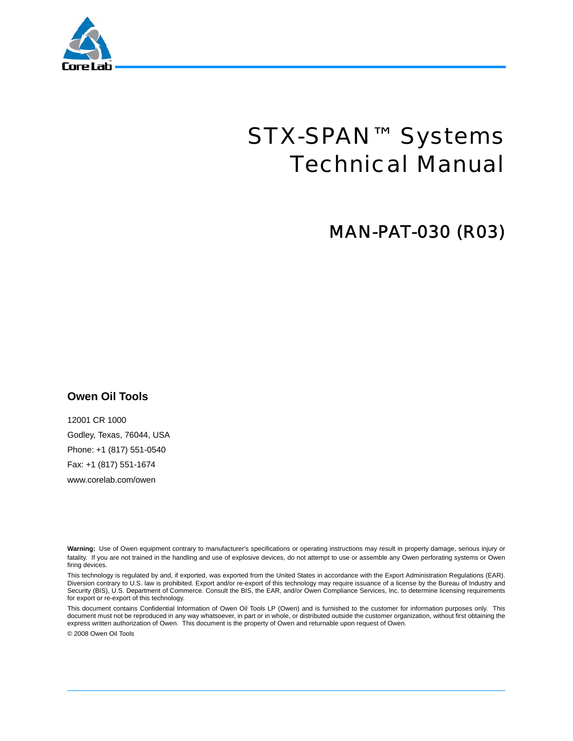

# STX-SPAN™ Systems Technical Manual

## MAN-PAT-030 (R03)

#### **Owen Oil Tools**

12001 CR 1000 Godley, Texas, 76044, USA Phone: +1 (817) 551-0540 Fax: +1 (817) 551-1674 www.corelab.com/owen

**Warning:** Use of Owen equipment contrary to manufacturer's specifications or operating instructions may result in property damage, serious injury or fatality. If you are not trained in the handling and use of explosive devices, do not attempt to use or assemble any Owen perforating systems or Owen firing devices.

This technology is regulated by and, if exported, was exported from the United States in accordance with the Export Administration Regulations (EAR). Diversion contrary to U.S. law is prohibited. Export and/or re-export of this technology may require issuance of a license by the Bureau of Industry and Security (BIS), U.S. Department of Commerce. Consult the BIS, the EAR, and/or Owen Compliance Services, Inc. to determine licensing requirements for export or re-export of this technology.

This document contains Confidential Information of Owen Oil Tools LP (Owen) and is furnished to the customer for information purposes only. This document must not be reproduced in any way whatsoever, in part or in whole, or distributed outside the customer organization, without first obtaining the express written authorization of Owen. This document is the property of Owen and returnable upon request of Owen. © 2008 Owen Oil Tools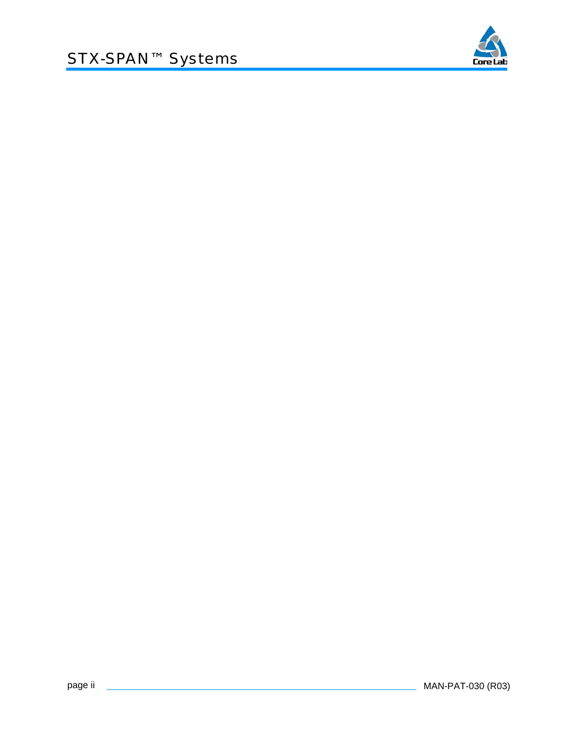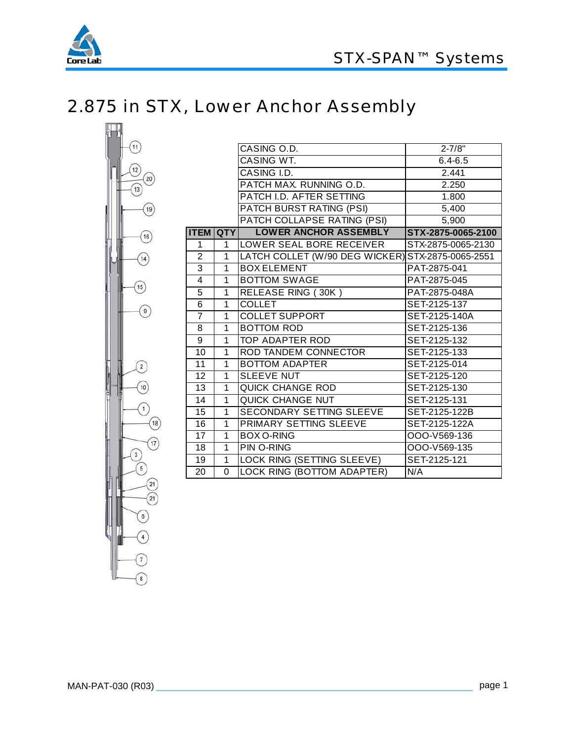

## 2.875 in STX, Lower Anchor Assembly



|                 |              | CASING O.D.                                       | $2 - 7/8"$         |
|-----------------|--------------|---------------------------------------------------|--------------------|
|                 |              | CASING WT.                                        | $6.4 - 6.5$        |
|                 |              | CASING I.D.                                       | 2.441              |
|                 |              | PATCH MAX. RUNNING O.D.                           | 2.250              |
|                 |              | PATCH I.D. AFTER SETTING                          | 1.800              |
|                 |              | PATCH BURST RATING (PSI)                          | 5,400              |
|                 |              | PATCH COLLAPSE RATING (PSI)                       | 5,900              |
| <b>ITEM</b>     | <b>QTY</b>   | <b>LOWER ANCHOR ASSEMBLY</b>                      | STX-2875-0065-2100 |
| 1               | 1            | LOWER SEAL BORE RECEIVER                          | STX-2875-0065-2130 |
| $\overline{2}$  | 1            | LATCH COLLET (W/90 DEG WICKER) STX-2875-0065-2551 |                    |
| 3               | $\mathbf{1}$ | <b>BOX ELEMENT</b>                                | PAT-2875-041       |
| 4               | 1            | <b>BOTTOM SWAGE</b>                               | PAT-2875-045       |
| $\overline{5}$  | 1            | RELEASE RING (30K)                                | PAT-2875-048A      |
| $\overline{6}$  | $\mathbf{1}$ | <b>COLLET</b>                                     | SET-2125-137       |
| $\overline{7}$  | 1            | <b>COLLET SUPPORT</b>                             | SET-2125-140A      |
| 8               | 1            | <b>BOTTOM ROD</b>                                 | SET-2125-136       |
| 9               | 1            | TOP ADAPTER ROD                                   | SET-2125-132       |
| 10              | 1            | ROD TANDEM CONNECTOR                              | SET-2125-133       |
| 11              | 1            | <b>BOTTOM ADAPTER</b>                             | SET-2125-014       |
| 12              | 1            | <b>SLEEVE NUT</b>                                 | SET-2125-120       |
| $\overline{13}$ | 1            | <b>QUICK CHANGE ROD</b>                           | SET-2125-130       |
| 14              | 1            | <b>QUICK CHANGE NUT</b>                           | SET-2125-131       |
| 15              | 1            | <b>SECONDARY SETTING SLEEVE</b>                   | SET-2125-122B      |
| 16              | 1            | PRIMARY SETTING SLEEVE                            | SET-2125-122A      |
| 17              | 1            | <b>BOX O-RING</b>                                 | OOO-V569-136       |
| 18              | 1            | <b>PIN O-RING</b>                                 | OOO-V569-135       |
| 19              | 1            | LOCK RING (SETTING SLEEVE)                        | SET-2125-121       |
| 20              | $\Omega$     | <b>LOCK RING (BOTTOM ADAPTER)</b>                 | N/A                |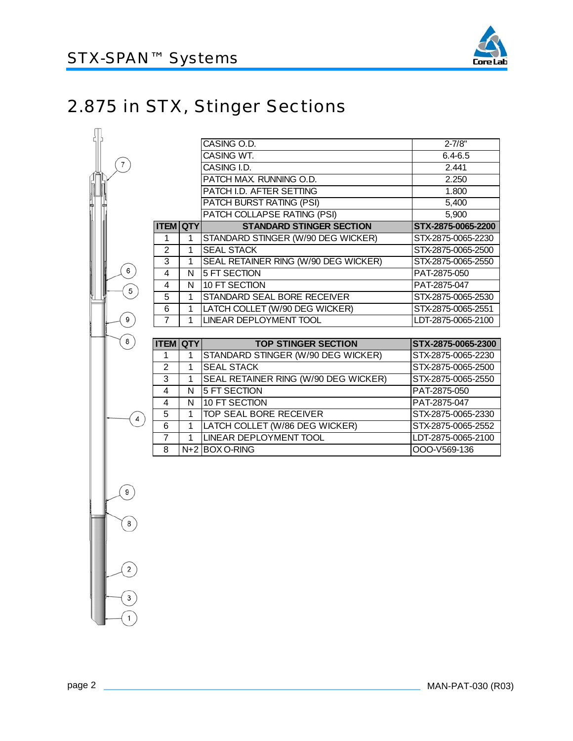

## 2.875 in STX, Stinger Sections

|   |                 |             | CASING O.D.                          | $2 - 7/8"$         |
|---|-----------------|-------------|--------------------------------------|--------------------|
|   |                 |             | CASING WT.                           | $6.4 - 6.5$        |
| 7 |                 |             | CASING I.D.                          | 2.441              |
|   |                 |             | PATCH MAX RUNNING O.D.               | 2.250              |
|   |                 |             | PATCH I.D. AFTER SETTING             | 1.800              |
|   |                 |             | PATCH BURST RATING (PSI)             | 5,400              |
|   |                 |             | PATCH COLLAPSE RATING (PSI)          | 5,900              |
|   | <b>ITEM QTY</b> |             | <b>STANDARD STINGER SECTION</b>      | STX-2875-0065-2200 |
|   | 1               | 1           | STANDARD STINGER (W/90 DEG WICKER)   | STX-2875-0065-2230 |
|   | $\overline{2}$  | 1           | <b>SEAL STACK</b>                    | STX-2875-0065-2500 |
|   | 3               | 1           | SEAL RETAINER RING (W/90 DEG WICKER) | STX-2875-0065-2550 |
| 6 | 4               | N           | 5 FT SECTION                         | PAT-2875-050       |
| 5 | 4               | N           | 10 FT SECTION                        | PAT-2875-047       |
|   | 5               | 1           | STANDARD SEAL BORE RECEIVER          | STX-2875-0065-2530 |
|   | 6               | 1.          | LATCH COLLET (W/90 DEG WICKER)       | STX-2875-0065-2551 |
| 9 | 7               | 1.          | <b>LINEAR DEPLOYMENT TOOL</b>        | LDT-2875-0065-2100 |
|   |                 |             |                                      |                    |
| 8 | <b>ITEM QTY</b> |             | <b>TOP STINGER SECTION</b>           | STX-2875-0065-2300 |
|   | 1               | 1           | STANDARD STINGER (W/90 DEG WICKER)   | STX-2875-0065-2230 |
|   | $\overline{2}$  | 1           | <b>SEAL STACK</b>                    | STX-2875-0065-2500 |
|   | 3               | 1           | SEAL RETAINER RING (W/90 DEG WICKER) | STX-2875-0065-2550 |
|   | 4               | N.          | <b>5 FT SECTION</b>                  | PAT-2875-050       |
|   | 4               | N           | 10 FT SECTION                        | PAT-2875-047       |
| 4 | 5               | 1           | <b>TOP SEAL BORE RECEIVER</b>        | STX-2875-0065-2330 |
|   | 6               | $\mathbf 1$ | LATCH COLLET (W/86 DEG WICKER)       | STX-2875-0065-2552 |
|   | $\overline{7}$  | 1.          | <b>LINEAR DEPLOYMENT TOOL</b>        | LDT-2875-0065-2100 |
|   | 8               |             | $N+2$ BOX O-RING                     | OOO-V569-136       |
|   |                 |             |                                      |                    |
|   |                 |             |                                      |                    |
| 9 |                 |             |                                      |                    |
|   |                 |             |                                      |                    |
|   |                 |             |                                      |                    |
| 8 |                 |             |                                      |                    |
|   |                 |             |                                      |                    |
|   |                 |             |                                      |                    |
|   |                 |             |                                      |                    |
|   |                 |             |                                      |                    |
| 2 |                 |             |                                      |                    |
|   |                 |             |                                      |                    |
|   |                 |             |                                      |                    |
| 3 |                 |             |                                      |                    |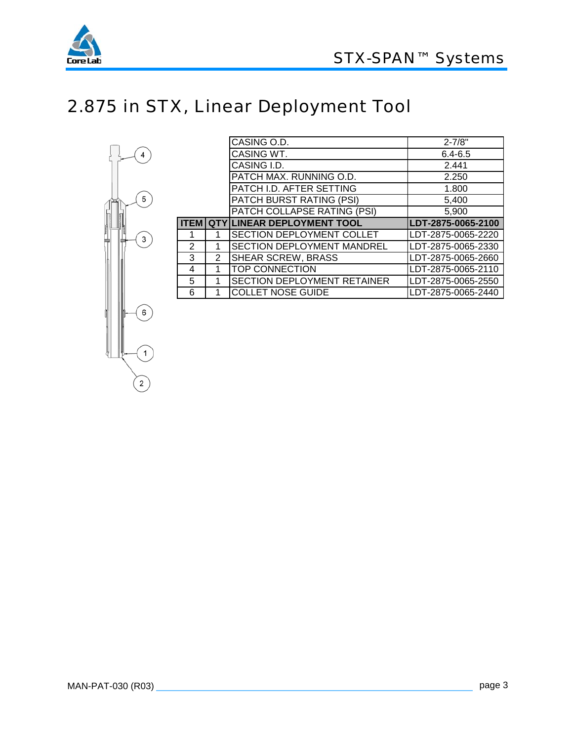

## 2.875 in STX, Linear Deployment Tool



|                  |   | CASING O.D.                          | $2 - 7/8"$         |  |
|------------------|---|--------------------------------------|--------------------|--|
|                  |   | CASING WT.                           | $6.4 - 6.5$        |  |
|                  |   | CASING I.D.                          | 2.441              |  |
|                  |   | PATCH MAX. RUNNING O.D.              | 2.250              |  |
|                  |   | PATCH I.D. AFTER SETTING             | 1.800              |  |
|                  |   | PATCH BURST RATING (PSI)             | 5,400              |  |
|                  |   | PATCH COLLAPSE RATING (PSI)<br>5,900 |                    |  |
|                  |   |                                      |                    |  |
|                  |   | QTY LINEAR DEPLOYMENT TOOL           | LDT-2875-0065-2100 |  |
| 1                |   | <b>SECTION DEPLOYMENT COLLET</b>     | LDT-2875-0065-2220 |  |
| 2                | 1 | SECTION DEPLOYMENT MANDREL           | LDT-2875-0065-2330 |  |
| 3                | 2 | <b>SHEAR SCREW, BRASS</b>            | LDT-2875-0065-2660 |  |
| <b>ITEM</b><br>4 | 1 | <b>TOP CONNECTION</b>                | LDT-2875-0065-2110 |  |
| 5                | 1 | SECTION DEPLOYMENT RETAINER          | LDT-2875-0065-2550 |  |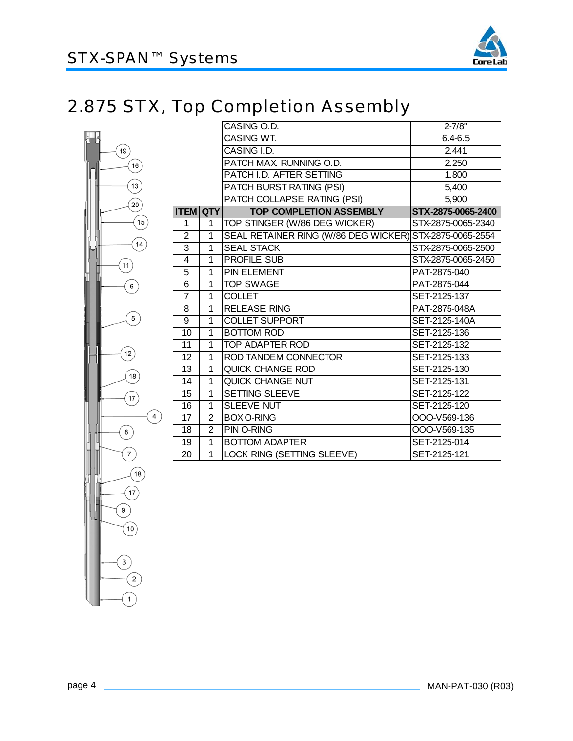

## 2.875 STX, Top Completion Assembly

| ŀ              |
|----------------|
| 19<br>16       |
| $\frac{1}{13}$ |
| 20<br>(15      |
| 14<br>⇃        |
| 11             |
| 6              |
| 5<br>I         |
| 12             |
| 18             |
| 17             |
| 4<br>8         |
| $\overline{7}$ |
| 18<br>I<br>17  |
| 9              |
| 10<br>í        |
| 3              |
| 2              |
| 1              |

|                 |                | CASING O.D.                                             | $2 - 7/8"$         |
|-----------------|----------------|---------------------------------------------------------|--------------------|
|                 |                | <b>CASING WT.</b>                                       | $6.4 - 6.5$        |
|                 |                | CASING I.D.                                             | 2.441              |
|                 |                | PATCH MAX RUNNING O.D.                                  | 2.250              |
|                 |                | PATCH I.D. AFTER SETTING                                | 1.800              |
|                 |                | PATCH BURST RATING (PSI)                                | 5,400              |
|                 |                | PATCH COLLAPSE RATING (PSI)                             | 5,900              |
| <b>ITEM QTY</b> |                | <b>TOP COMPLETION ASSEMBLY</b>                          | STX-2875-0065-2400 |
| 1               | 1              | TOP STINGER (W/86 DEG WICKER)                           | STX-2875-0065-2340 |
| $\overline{2}$  | 1              | SEAL RETAINER RING (W/86 DEG WICKER) STX-2875-0065-2554 |                    |
| 3               | 1              | <b>SEAL STACK</b>                                       | STX-2875-0065-2500 |
| 4               | 1              | <b>PROFILE SUB</b>                                      | STX-2875-0065-2450 |
| 5               | 1              | PIN ELEMENT                                             | PAT-2875-040       |
| $\overline{6}$  | 1              | <b>TOP SWAGE</b>                                        | PAT-2875-044       |
| $\overline{7}$  | 1              | <b>COLLET</b>                                           | SET-2125-137       |
| 8               | 1              | <b>RELEASE RING</b>                                     | PAT-2875-048A      |
| 9               | 1              | <b>COLLET SUPPORT</b>                                   | SET-2125-140A      |
| 10              | 1              | <b>BOTTOM ROD</b>                                       | SET-2125-136       |
| 11              | 1              | <b>TOP ADAPTER ROD</b>                                  | SET-2125-132       |
| 12              | 1              | ROD TANDEM CONNECTOR                                    | SET-2125-133       |
| 13              | 1              | QUICK CHANGE ROD                                        | SET-2125-130       |
| $\overline{14}$ | $\mathbf{1}$   | <b>QUICK CHANGE NUT</b>                                 | SET-2125-131       |
| 15              | 1              | SETTING SLEEVE                                          | SET-2125-122       |
| 16              | 1              | <b>SLEEVE NUT</b>                                       | SET-2125-120       |
| 17              | $\overline{2}$ | <b>BOX O-RING</b>                                       | OOO-V569-136       |
| 18              | $\overline{2}$ | PIN O-RING                                              | OOO-V569-135       |
| 19              | $\mathbf{1}$   | <b>BOTTOM ADAPTER</b>                                   | SET-2125-014       |
| 20              | 1              | LOCK RING (SETTING SLEEVE)                              | SET-2125-121       |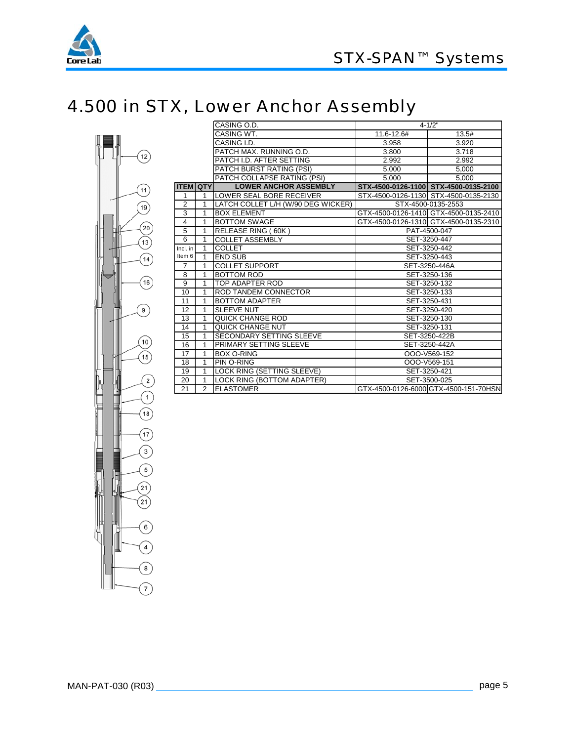

## 4.500 in STX, Lower Anchor Assembly



Incl. in

|                 |                | CASING O.D.                        | $4 - 1/2"$ |                                       |  |
|-----------------|----------------|------------------------------------|------------|---------------------------------------|--|
|                 |                | CASING WT.                         | 11.6-12.6# | 13.5#                                 |  |
|                 |                | CASING I.D.                        | 3.958      | 3.920                                 |  |
|                 |                | PATCH MAX. RUNNING O.D.            | 3.800      | 3.718                                 |  |
|                 |                | PATCH I.D. AFTER SETTING           | 2.992      | 2.992                                 |  |
|                 |                | PATCH BURST RATING (PSI)           | 5,000      | 5,000                                 |  |
|                 |                | PATCH COLLAPSE RATING (PSI)        | 5,000      | 5,000                                 |  |
| <b>ITEM QTY</b> |                | <b>LOWER ANCHOR ASSEMBLY</b>       |            | STX-4500-0126-1100 STX-4500-0135-2100 |  |
| $\mathbf{1}$    | 1              | LOWER SEAL BORE RECEIVER           |            | STX-4500-0126-1130 STX-4500-0135-2130 |  |
| $\overline{2}$  | 1              | LATCH COLLET L/H (W/90 DEG WICKER) |            | STX-4500-0135-2553                    |  |
| 3               | 1              | <b>BOX ELEMENT</b>                 |            | GTX-4500-0126-1410 GTX-4500-0135-2410 |  |
| $\overline{4}$  | 1              | <b>BOTTOM SWAGE</b>                |            | GTX-4500-0126-1310 GTX-4500-0135-2310 |  |
| 5               | 1              | RELEASE RING (60K)                 |            | PAT-4500-047                          |  |
| 6               | 1              | <b>COLLET ASSEMBLY</b>             |            | SET-3250-447                          |  |
| Incl. in        | 1              | <b>COLLET</b>                      |            | SET-3250-442                          |  |
| Item 6          | 1              | <b>END SUB</b>                     |            | SET-3250-443                          |  |
| $\overline{7}$  | 1              | <b>COLLET SUPPORT</b>              |            | SET-3250-446A                         |  |
| 8               | 1              | <b>BOTTOM ROD</b>                  |            | SET-3250-136                          |  |
| 9               | 1              | TOP ADAPTER ROD                    |            | SET-3250-132                          |  |
| 10              | 1              | ROD TANDEM CONNECTOR               |            | SET-3250-133                          |  |
| 11              | 1              | <b>BOTTOM ADAPTER</b>              |            | SET-3250-431                          |  |
| 12              | 1              | <b>SLEEVE NUT</b>                  |            | SET-3250-420                          |  |
| 13              | 1              | QUICK CHANGE ROD                   |            | SET-3250-130                          |  |
| 14              | 1              | QUICK CHANGE NUT                   |            | SET-3250-131                          |  |
| 15              | 1              | <b>SECONDARY SETTING SLEEVE</b>    |            | SET-3250-422B                         |  |
| 16              | 1              | PRIMARY SETTING SLEEVE             |            | SET-3250-442A                         |  |
| 17              | 1              | <b>BOX O-RING</b>                  |            | OOO-V569-152                          |  |
| 18              | 1              | <b>PIN O-RING</b>                  |            | OOO-V569-151                          |  |
| 19              | 1              | LOCK RING (SETTING SLEEVE)         |            | SET-3250-421                          |  |
| 20              | 1              | <b>LOCK RING (BOTTOM ADAPTER)</b>  |            | SET-3500-025                          |  |
| 21              | $\overline{2}$ | <b>ELASTOMER</b>                   |            | GTX-4500-0126-6000 GTX-4500-151-70HSN |  |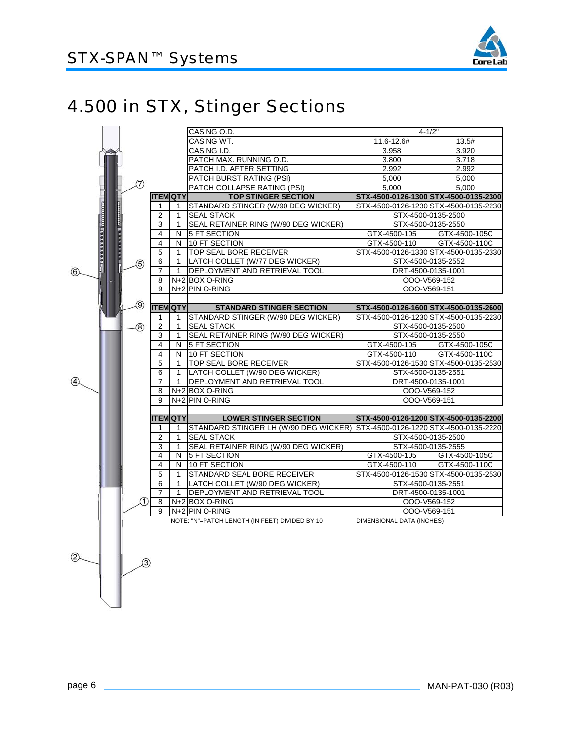

## 4.500 in STX, Stinger Sections

|                |               |                     |              | CASING O.D.                                                                 |                              | $4 - 1/2"$                            |
|----------------|---------------|---------------------|--------------|-----------------------------------------------------------------------------|------------------------------|---------------------------------------|
|                |               |                     |              | CASING WT.                                                                  | 11.6-12.6#                   | 13.5#                                 |
|                |               |                     |              | CASING I.D.                                                                 | 3.958                        | 3.920                                 |
|                |               |                     |              | PATCH MAX. RUNNING O.D.                                                     | 3.800                        | 3.718                                 |
|                |               |                     |              | PATCH I.D. AFTER SETTING                                                    | 2.992                        | 2.992                                 |
|                |               |                     |              | PATCH BURST RATING (PSI)                                                    | 5,000                        | 5,000                                 |
|                | Ω             |                     |              | PATCH COLLAPSE RATING (PSI)                                                 | 5,000                        | 5,000                                 |
|                |               | <b>ITEMQTY</b>      |              | <b>TOP STINGER SECTION</b>                                                  |                              | STX-4500-0126-1300 STX-4500-0135-2300 |
|                |               | 1                   | 1            | STANDARD STINGER (W/90 DEG WICKER)                                          |                              | STX-4500-0126-1230 STX-4500-0135-2230 |
|                |               | 2                   | 1            | <b>SEAL STACK</b>                                                           |                              | STX-4500-0135-2500                    |
|                |               | 3                   | $\mathbf{1}$ | SEAL RETAINER RING (W/90 DEG WICKER)                                        |                              | STX-4500-0135-2550                    |
|                |               | $\overline{4}$      | N            | 5 FT SECTION                                                                | GTX-4500-105                 | GTX-4500-105C                         |
|                |               | 4                   | N            | 10 FT SECTION                                                               | GTX-4500-110                 | GTX-4500-110C                         |
|                |               | 5                   | $\mathbf{1}$ | TOP SEAL BORE RECEIVER                                                      |                              | STX-4500-0126-1330 STX-4500-0135-2330 |
|                | (5)           | 6                   | $\mathbf{1}$ | LATCH COLLET (W/77 DEG WICKER)                                              |                              | STX-4500-0135-2552                    |
| $\circled{6}$  |               | 7                   | $\mathbf{1}$ | DEPLOYMENT AND RETRIEVAL TOOL                                               |                              | DRT-4500-0135-1001                    |
|                |               | 8                   |              | N+2 BOX O-RING                                                              |                              | OOO-V569-152                          |
|                |               | 9                   |              | N+2 PIN O-RING                                                              |                              | OOO-V569-151                          |
|                |               |                     |              |                                                                             |                              |                                       |
|                | ⊚)            | <b>ITEM</b> QTY     |              | <b>STANDARD STINGER SECTION</b>                                             |                              | STX-4500-0126-1600 STX-4500-0135-2600 |
|                |               | 1                   | $\mathbf{1}$ | STANDARD STINGER (W/90 DEG WICKER)                                          |                              | STX-4500-0126-1230 STX-4500-0135-2230 |
|                | (8)           | 2                   | 1            | <b>SEAL STACK</b>                                                           |                              | STX-4500-0135-2500                    |
|                |               | 3                   | $\mathbf{1}$ | SEAL RETAINER RING (W/90 DEG WICKER)                                        |                              | STX-4500-0135-2550                    |
|                |               | $\overline{4}$      | N            | 5 FT SECTION                                                                | GTX-4500-105                 | GTX-4500-105C                         |
|                |               | $\overline{4}$      | N            | 10 FT SECTION                                                               | GTX-4500-110                 | GTX-4500-110C                         |
|                |               | 5                   | $\mathbf{1}$ | <b>TOP SEAL BORE RECEIVER</b>                                               |                              | STX-4500-0126-1530 STX-4500-0135-2530 |
|                |               | 6                   | $\mathbf{1}$ | LATCH COLLET (W/90 DEG WICKER)                                              |                              | STX-4500-0135-2551                    |
| $\circled{4}$  |               | $\overline{7}$      | $\mathbf{1}$ | DEPLOYMENT AND RETRIEVAL TOOL                                               |                              | DRT-4500-0135-1001                    |
|                |               | 8                   |              | N+2 BOX O-RING                                                              |                              | OOO-V569-152                          |
|                |               | 9                   |              | N+2 PIN O-RING                                                              |                              | OOO-V569-151                          |
|                |               |                     |              |                                                                             |                              |                                       |
|                |               | <b>ITEM</b> QTY     |              | <b>LOWER STINGER SECTION</b>                                                |                              | STX-4500-0126-1200 STX-4500-0135-2200 |
|                |               | 1                   | $\mathbf{1}$ | STANDARD STINGER LH (W/90 DEG WICKER) STX-4500-0126-1220 STX-4500-0135-2220 |                              |                                       |
|                |               | $\overline{2}$      | $\mathbf{1}$ | <b>SEAL STACK</b>                                                           |                              | STX-4500-0135-2500                    |
|                |               | 3                   | $\mathbf{1}$ | SEAL RETAINER RING (W/90 DEG WICKER)                                        |                              | STX-4500-0135-2555                    |
|                |               | 4<br>$\overline{4}$ | N            | 5 FT SECTION                                                                | GTX-4500-105<br>GTX-4500-110 | GTX-4500-105C<br>GTX-4500-110C        |
|                |               | 5                   | $\mathbf{1}$ | N 10 FT SECTION<br>STANDARD SEAL BORE RECEIVER                              |                              | STX-4500-0126-1530 STX-4500-0135-2530 |
|                |               | 6                   | $\mathbf{1}$ | LATCH COLLET (W/90 DEG WICKER)                                              | STX-4500-0135-2551           |                                       |
|                |               | 7                   | $\mathbf{1}$ | DEPLOYMENT AND RETRIEVAL TOOL                                               |                              | DRT-4500-0135-1001                    |
|                | ∩             | 8                   |              | N+2 BOX O-RING                                                              |                              | OOO-V569-152                          |
|                |               | 9                   |              | $N+2$ PIN O-RING                                                            |                              | OOO-V569-151                          |
|                |               |                     |              | NOTE: "N"=PATCH LENGTH (IN FEET) DIVIDED BY 10                              | DIMENSIONAL DATA (INCHES)    |                                       |
|                |               |                     |              |                                                                             |                              |                                       |
|                |               |                     |              |                                                                             |                              |                                       |
|                |               |                     |              |                                                                             |                              |                                       |
| $^{\circledR}$ |               |                     |              |                                                                             |                              |                                       |
|                | $\circled{3}$ |                     |              |                                                                             |                              |                                       |
|                |               |                     |              |                                                                             |                              |                                       |
|                |               |                     |              |                                                                             |                              |                                       |
|                |               |                     |              |                                                                             |                              |                                       |
|                |               |                     |              |                                                                             |                              |                                       |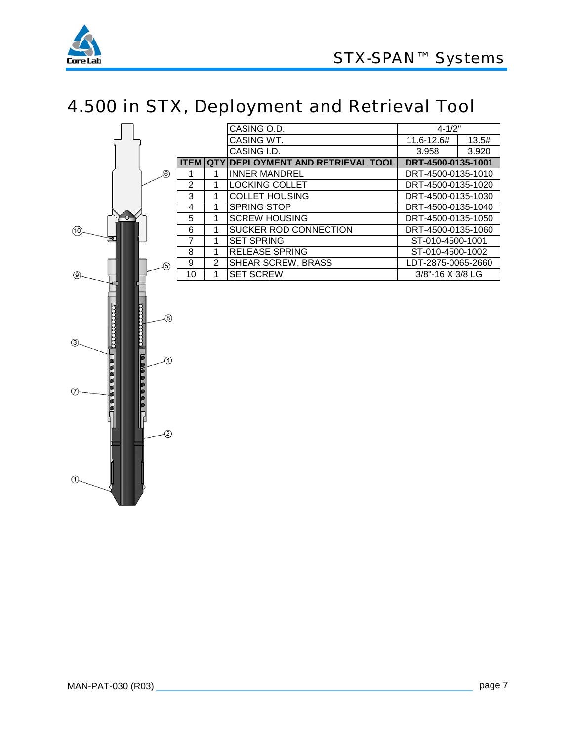

## 4.500 in STX, Deployment and Retrieval Tool

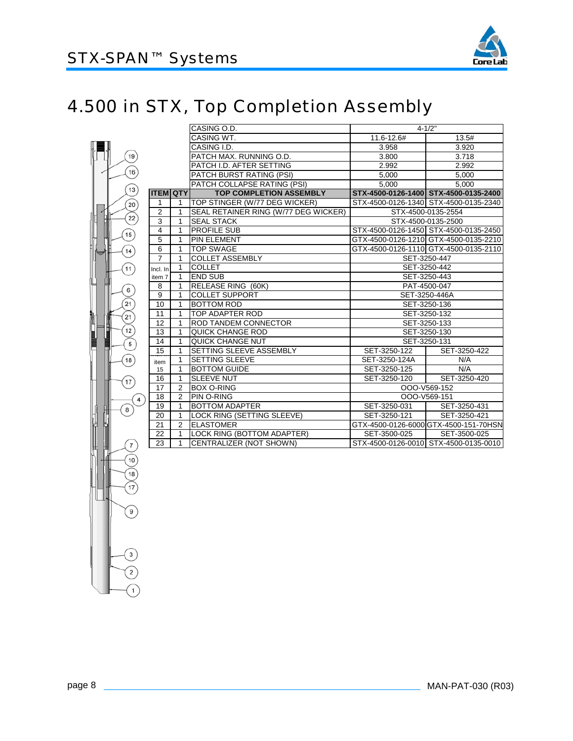

## 4.500 in STX, Top Completion Assembly

|       |                                   |                 |                | CASING O.D.                          | $4 - 1/2"$    |                                       |
|-------|-----------------------------------|-----------------|----------------|--------------------------------------|---------------|---------------------------------------|
|       |                                   |                 |                | CASING WT.                           | 11.6-12.6#    | 13.5#                                 |
|       |                                   |                 |                | CASING I.D.                          | 3.958         | 3.920                                 |
|       | 19                                |                 |                | PATCH MAX. RUNNING O.D.              | 3.800         | 3.718                                 |
|       |                                   |                 |                | PATCH I.D. AFTER SETTING             | 2.992         | 2.992                                 |
|       | 16                                |                 |                | PATCH BURST RATING (PSI)             | 5,000         | 5,000                                 |
|       |                                   |                 |                | PATCH COLLAPSE RATING (PSI)          | 5,000         | 5.000                                 |
|       | 13                                | <b>ITEM QTY</b> |                | <b>TOP COMPLETION ASSEMBLY</b>       |               | STX-4500-0126-1400 STX-4500-0135-2400 |
|       | 20                                | 1               | $\mathbf{1}$   | TOP STINGER (W/77 DEG WICKER)        |               | STX-4500-0126-1340 STX-4500-0135-2340 |
|       | 22                                | $\overline{2}$  | 1              | SEAL RETAINER RING (W/77 DEG WICKER) |               | STX-4500-0135-2554                    |
|       |                                   | $\overline{3}$  | $\mathbf{1}$   | <b>SEAL STACK</b>                    |               | STX-4500-0135-2500                    |
|       | (15)                              | 4               | $\mathbf{1}$   | <b>PROFILE SUB</b>                   |               | STX-4500-0126-1450 STX-4500-0135-2450 |
|       |                                   | 5               | 1              | <b>PIN ELEMENT</b>                   |               | GTX-4500-0126-1210 GTX-4500-0135-2210 |
|       | (14)                              | 6               | $\mathbf{1}$   | <b>TOP SWAGE</b>                     |               | GTX-4500-0126-1110 GTX-4500-0135-2110 |
|       |                                   | $\overline{7}$  | $\mathbf{1}$   | <b>COLLET ASSEMBLY</b>               |               | SET-3250-447                          |
|       | (11)                              | Incl. In        | 1              | <b>COLLET</b>                        |               | SET-3250-442                          |
|       |                                   | item 7          | $\mathbf{1}$   | <b>END SUB</b>                       |               | SET-3250-443                          |
|       | 6                                 | 8               | $\mathbf{1}$   | RELEASE RING (60K)                   |               | PAT-4500-047                          |
|       |                                   | 9               | 1              | <b>COLLET SUPPORT</b>                |               | SET-3250-446A                         |
|       | $\overline{21}$                   | 10              | $\mathbf{1}$   | <b>BOTTOM ROD</b>                    |               | SET-3250-136                          |
|       | 21                                | 11              | $\mathbf{1}$   | TOP ADAPTER ROD                      |               | SET-3250-132                          |
|       |                                   | 12              | $\mathbf{1}$   | <b>ROD TANDEM CONNECTOR</b>          |               | SET-3250-133                          |
|       | $\left(12\right)$                 | $\overline{13}$ | $\mathbf{1}$   | <b>QUICK CHANGE ROD</b>              |               | SET-3250-130                          |
|       | $\sqrt{5}$                        | 14              | $\mathbf{1}$   | QUICK CHANGE NUT                     |               | SET-3250-131                          |
|       |                                   | $\overline{15}$ | 1              | SETTING SLEEVE ASSEMBLY              | SET-3250-122  | SET-3250-422                          |
|       | $\left(18\right)$                 | item            | $\mathbf{1}$   | <b>SETTING SLEEVE</b>                | SET-3250-124A | N/A                                   |
|       |                                   | 15              | $\mathbf 1$    | <b>BOTTOM GUIDE</b>                  | SET-3250-125  | N/A                                   |
|       | (17)                              | 16              | 1              | <b>SLEEVE NUT</b>                    | SET-3250-120  | SET-3250-420                          |
|       |                                   | 17              | $\overline{2}$ | <b>BOX O-RING</b>                    |               | OOO-V569-152                          |
|       | 4                                 | 18              | 2              | <b>PIN O-RING</b>                    |               | OOO-V569-151                          |
|       | 8                                 | 19              | $\mathbf{1}$   | <b>BOTTOM ADAPTER</b>                | SET-3250-031  | SET-3250-431                          |
|       |                                   | 20              | $\mathbf{1}$   | <b>LOCK RING (SETTING SLEEVE)</b>    | SET-3250-121  | SET-3250-421                          |
|       |                                   | 21              | $\overline{2}$ | <b>ELASTOMER</b>                     |               | GTX-4500-0126-6000 GTX-4500-151-70HSN |
|       |                                   | $\overline{22}$ | 1              | <b>LOCK RING (BOTTOM ADAPTER)</b>    | SET-3500-025  | SET-3500-025                          |
|       | $\begin{bmatrix} 7 \end{bmatrix}$ | 23              | 1              | CENTRALIZER (NOT SHOWN)              |               | STX-4500-0126-0010 STX-4500-0135-0010 |
| l †it | 10                                |                 |                |                                      |               |                                       |

 $17$ 

3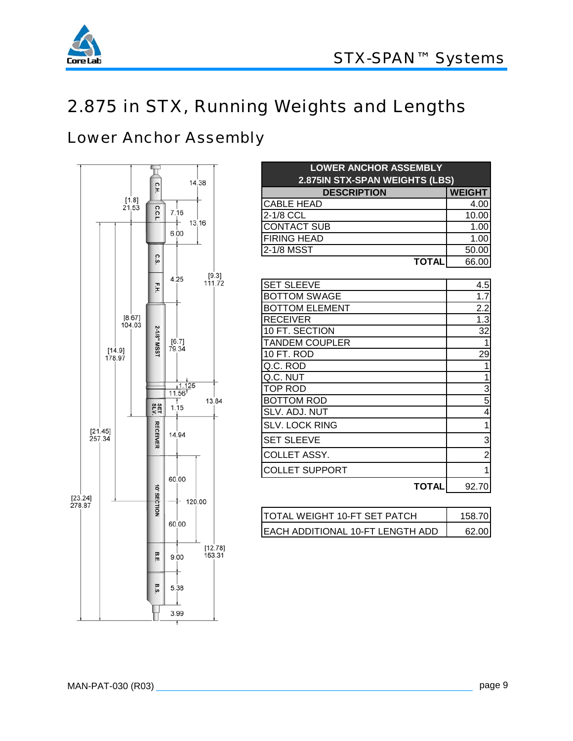

## 2.875 in STX, Running Weights and Lengths

#### Lower Anchor Assembly



| <b>LOWER ANCHOR ASSEMBLY</b><br>2.875IN STX-SPAN WEIGHTS (LBS) |                  |  |  |  |
|----------------------------------------------------------------|------------------|--|--|--|
| <b>DESCRIPTION</b>                                             | <b>WEIGHT</b>    |  |  |  |
| <b>CABLE HEAD</b>                                              | 4.00             |  |  |  |
| 2-1/8 CCL                                                      | 10.00            |  |  |  |
| <b>CONTACT SUB</b>                                             | 1.00             |  |  |  |
| <b>FIRING HEAD</b>                                             | 1.00             |  |  |  |
| $2-1/8$ MSST                                                   | 50.00            |  |  |  |
| <b>TOTAL</b>                                                   | 66.00            |  |  |  |
| <b>SET SLEEVE</b>                                              | 4.5              |  |  |  |
| <b>BOTTOM SWAGE</b>                                            | 1.7              |  |  |  |
| <b>BOTTOM ELEMENT</b>                                          | 2.2              |  |  |  |
| <b>RECEIVER</b>                                                | $\overline{1.3}$ |  |  |  |
| 10 FT. SECTION                                                 | $\overline{32}$  |  |  |  |
| <b>TANDEM COUPLER</b>                                          | 1                |  |  |  |
| 10 FT. ROD                                                     | $\overline{29}$  |  |  |  |
| Q.C. ROD                                                       | $\overline{1}$   |  |  |  |
| Q.C. NUT                                                       | $\overline{1}$   |  |  |  |
| <b>TOP ROD</b>                                                 | $\frac{3}{5}$    |  |  |  |
| <b>BOTTOM ROD</b>                                              |                  |  |  |  |
| SLV. ADJ. NUT                                                  |                  |  |  |  |
| <b>SLV. LOCK RING</b>                                          | $\overline{1}$   |  |  |  |
| <b>SET SLEEVE</b>                                              | 3                |  |  |  |
| <b>COLLET ASSY.</b>                                            | $\overline{2}$   |  |  |  |
| <b>COLLET SUPPORT</b>                                          | 1                |  |  |  |
| <b>TOTAL</b>                                                   | 92.70            |  |  |  |

| ITOTAL WEIGHT 10-FT SET PATCH    | 158.70 |
|----------------------------------|--------|
| EACH ADDITIONAL 10-FT LENGTH ADD | 62.00L |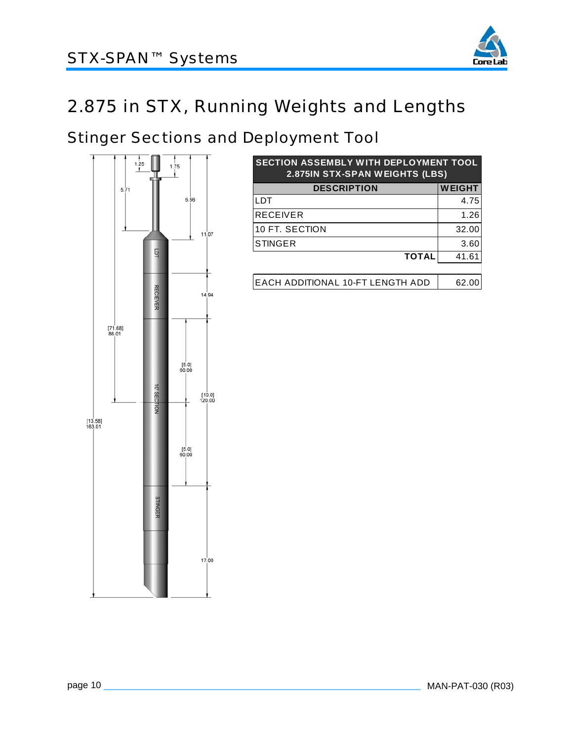

## 2.875 in STX, Running Weights and Lengths

## Stinger Sections and Deployment Tool



| <b>SECTION ASSEMBLY WITH DEPLOYMENT TOOL</b><br>2.875IN STX-SPAN WEIGHTS (LBS) |               |  |  |  |  |
|--------------------------------------------------------------------------------|---------------|--|--|--|--|
| <b>DESCRIPTION</b>                                                             | <b>WEIGHT</b> |  |  |  |  |
| LDT                                                                            | 4.75          |  |  |  |  |
| <b>RECEIVER</b>                                                                | 1.26          |  |  |  |  |
| 10 FT. SECTION                                                                 | 32.00         |  |  |  |  |
| <b>STINGER</b>                                                                 | 3.60          |  |  |  |  |
| <b>TOTAL</b>                                                                   | 41.61         |  |  |  |  |
|                                                                                |               |  |  |  |  |
| EACH ADDITIONAL 10-FT LENGTH ADD                                               | 62.00         |  |  |  |  |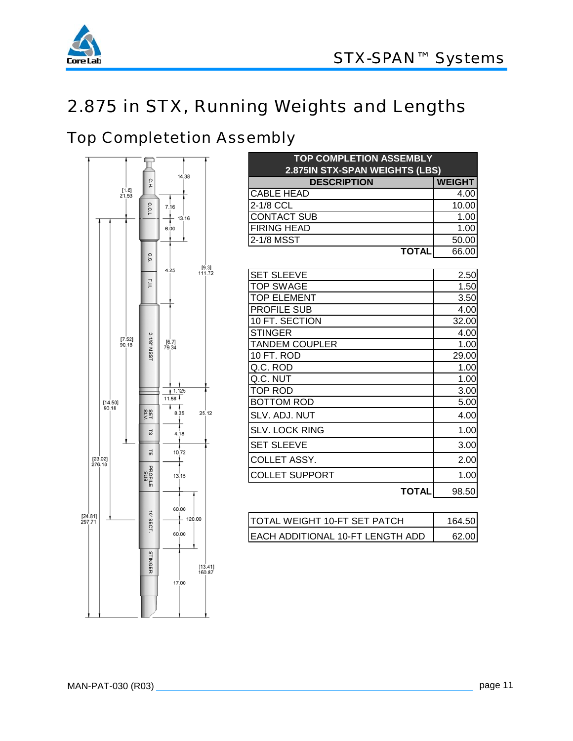

## 2.875 in STX, Running Weights and Lengths

### Top Completetion Assembly



| <b>TOP COMPLETION ASSEMBLY</b>        |               |
|---------------------------------------|---------------|
| <b>2.875IN STX-SPAN WEIGHTS (LBS)</b> |               |
| <b>DESCRIPTION</b>                    | <b>WEIGHT</b> |
| <b>CABLE HEAD</b>                     | 4.00          |
| 2-1/8 CCL                             | 10.00         |
| <b>CONTACT SUB</b>                    | 1.00          |
| <b>FIRING HEAD</b>                    | 1.00          |
| 2-1/8 MSST                            | 50.00         |
| <b>TOTAL</b>                          | 66.00         |
| <b>SET SLEEVE</b>                     | 2.50          |
| <b>TOP SWAGE</b>                      | 1.50          |
| <b>TOP ELEMENT</b>                    | 3.50          |
| <b>PROFILE SUB</b>                    | 4.00          |
| 10 FT. SECTION                        | 32.00         |
| <b>STINGER</b>                        | 4.00          |
| <b>TANDEM COUPLER</b>                 | 1.00          |
| 10 FT. ROD                            | 29.00         |
| Q.C. ROD                              | 1.00          |
| Q.C. NUT                              | 1.00          |
| <b>TOP ROD</b>                        | 3.00          |
| <b>BOTTOM ROD</b>                     | 5.00          |
| SLV. ADJ. NUT                         | 4.00          |
| <b>SLV. LOCK RING</b>                 | 1.00          |
| <b>SET SLEEVE</b>                     | 3.00          |
| <b>COLLET ASSY.</b>                   | 2.00          |
| <b>COLLET SUPPORT</b>                 | 1.00          |
| <b>TOTAL</b>                          | 98.50         |

| <b>ITOTAL WEIGHT 10-FT SET PATCH</b> | 164.501 |
|--------------------------------------|---------|
| EACH ADDITIONAL 10-FT LENGTH ADD     | 62.00 l |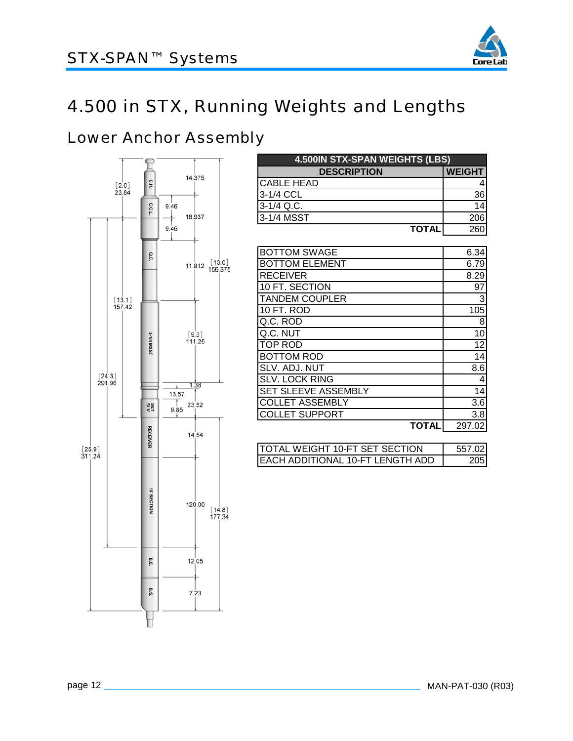

## 4.500 in STX, Running Weights and Lengths

### Lower Anchor Assembly



| <b>4.500IN STX-SPAN WEIGHTS (LBS)</b> |               |
|---------------------------------------|---------------|
| <b>DESCRIPTION</b>                    | <b>WEIGHT</b> |
| CABLE HEAD                            |               |
| 3-1/4 CCL                             | 36            |
| 3-1/4 Q.C.                            | 14            |
| 3-1/4 MSST                            | 206           |
| <b>TOTAL</b>                          | 260           |

| <b>BOTTOM SWAGE</b>    | 6.34   |
|------------------------|--------|
| <b>BOTTOM ELEMENT</b>  | 6.79   |
| <b>RECEIVER</b>        | 8.29   |
| 10 FT. SECTION         | 97     |
| <b>TANDEM COUPLER</b>  | 3      |
| 10 FT. ROD             | 105    |
| Q.C. ROD               | 8      |
| Q.C. NUT               | 10     |
| TOP ROD                | 12     |
| <b>BOTTOM ROD</b>      | 14     |
| SLV. ADJ. NUT          | 8.6    |
| <b>SLV. LOCK RING</b>  | 4      |
| SET SLEEVE ASSEMBLY    | 14     |
| <b>COLLET ASSEMBLY</b> | 3.6    |
| <b>COLLET SUPPORT</b>  | 3.8    |
| <b>TOTAL</b>           | 297.02 |

| TOTAL WEIGHT 10-FT SET SECTION   | 557.02 |
|----------------------------------|--------|
| EACH ADDITIONAL 10-FT LENGTH ADD | 205I   |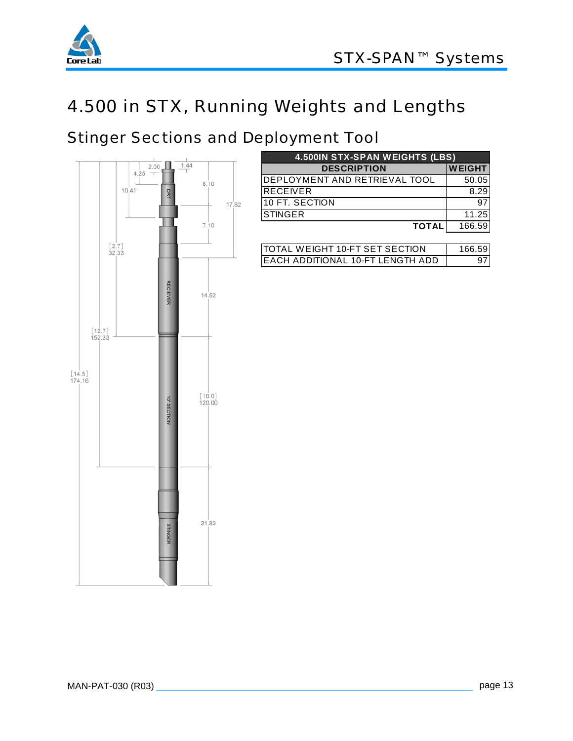

## 4.500 in STX, Running Weights and Lengths

### Stinger Sections and Deployment Tool



| 4.500IN STX-SPAN WEIGHTS (LBS) |               |
|--------------------------------|---------------|
| <b>DESCRIPTION</b>             | <b>WEIGHT</b> |
| DEPLOYMENT AND RETRIEVAL TOOL  | 50.05         |
| RECEIVER                       | 8.29          |
| 10 FT. SECTION                 | 97            |
| STINGER                        | 11.25         |
| <b>TOTAL</b>                   | 166.59        |

| TOTAL WEIGHT 10-FT SET SECTION   | 166.59 |
|----------------------------------|--------|
| EACH ADDITIONAL 10-FT LENGTH ADD |        |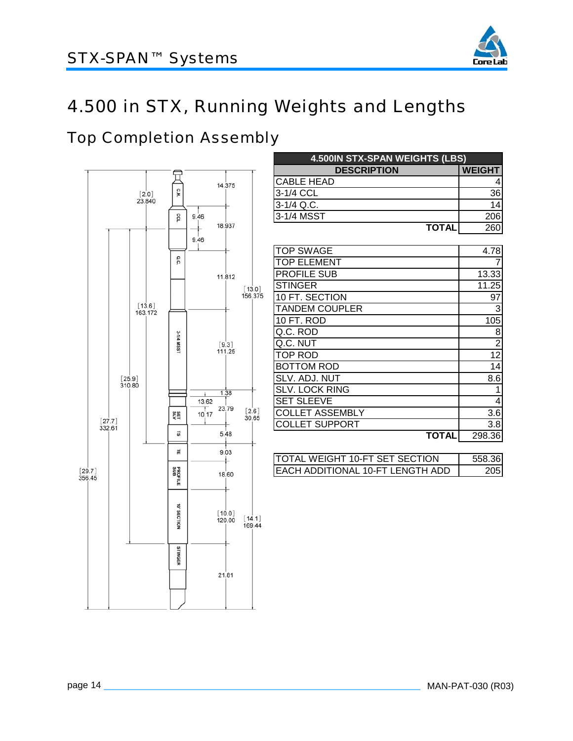

## 4.500 in STX, Running Weights and Lengths

### Top Completion Assembly



| 4.500IN STX-SPAN WEIGHTS (LBS) |                                             |
|--------------------------------|---------------------------------------------|
| <b>DESCRIPTION</b>             | <b>WEIGHT</b>                               |
| <b>CABLE HEAD</b>              | 4                                           |
| 3-1/4 CCL                      | 36                                          |
| 3-1/4 Q.C.                     | 14                                          |
| 3-1/4 MSST                     | 206                                         |
| <b>TOTAL</b>                   | 260                                         |
| <b>TOP SWAGE</b>               | $\overline{4.78}$                           |
| <b>TOP ELEMENT</b>             |                                             |
| <b>PROFILE SUB</b>             | 13.33                                       |
| <b>STINGER</b>                 | 11.25                                       |
| 10 FT. SECTION                 | 97                                          |
| <b>TANDEM COUPLER</b>          | 3                                           |
| 10 FT. ROD                     | 105                                         |
| Q.C. ROD                       | $\begin{array}{r} 8 \\ 2 \\ 12 \end{array}$ |
| Q.C. NUT                       |                                             |
| <b>TOP ROD</b>                 |                                             |
| <b>BOTTOM ROD</b>              | $\overline{14}$                             |
| SLV. ADJ. NUT                  | 8.6                                         |
| <b>SLV. LOCK RING</b>          | 1                                           |
| <b>SET SLEEVE</b>              | 4                                           |
| <b>COLLET ASSEMBLY</b>         | 3.6                                         |
| <b>COLLET SUPPORT</b>          | 3.8                                         |
| <b>TOTAL</b>                   | 298.36                                      |

| ITOTAL WEIGHT 10-FT SET SECTION          | 558.36 |
|------------------------------------------|--------|
| <b>IEACH ADDITIONAL 10-FT LENGTH ADD</b> |        |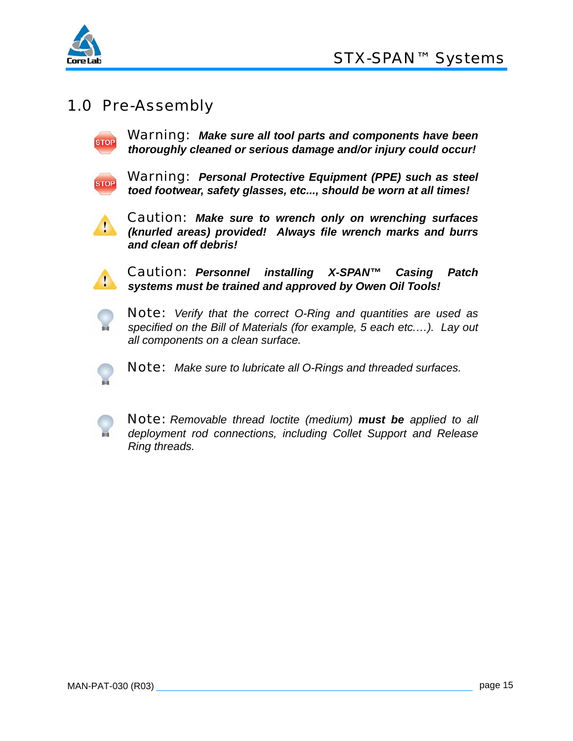

#### 1.0 Pre-Assembly



*Warning: Make sure all tool parts and components have been thoroughly cleaned or serious damage and/or injury could occur!*



*Warning: Personal Protective Equipment (PPE) such as steel toed footwear, safety glasses, etc..., should be worn at all times!*



*Caution: Make sure to wrench only on wrenching surfaces (knurled areas) provided! Always file wrench marks and burrs and clean off debris!*



*Caution: Personnel installing X-SPAN™ Casing Patch systems must be trained and approved by Owen Oil Tools!*



*Note: Verify that the correct O-Ring and quantities are used as specified on the Bill of Materials (for example, 5 each etc.…). Lay out all components on a clean surface.*



*Note: Make sure to lubricate all O-Rings and threaded surfaces.*



*Note: Removable thread loctite (medium) must be applied to all deployment rod connections, including Collet Support and Release Ring threads.*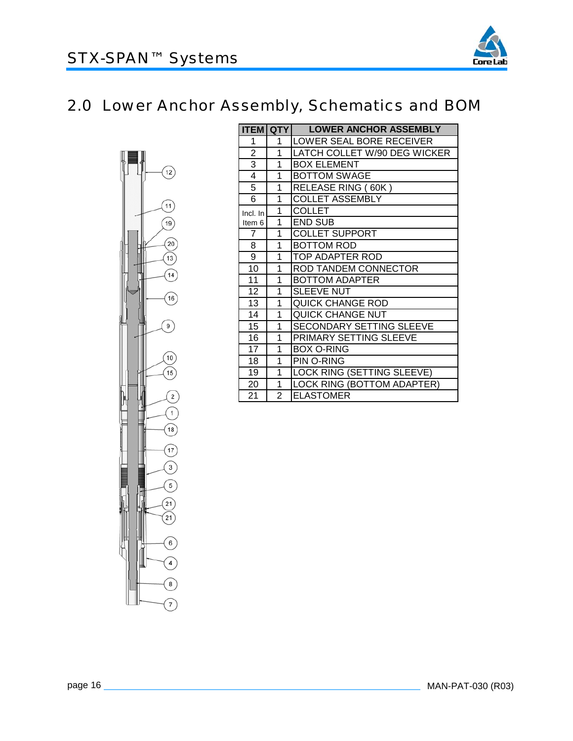

## 2.0 Lower Anchor Assembly, Schematics and BOM



| <b>ITEM QTY</b> |                | <b>LOWER ANCHOR ASSEMBLY</b> |
|-----------------|----------------|------------------------------|
| 1               | 1              | LOWER SEAL BORE RECEIVER     |
| $\overline{2}$  | 1              | LATCH COLLET W/90 DEG WICKER |
| 3               | 1              | <b>BOX ELEMENT</b>           |
| $\overline{4}$  | 1              | <b>BOTTOM SWAGE</b>          |
| $\overline{5}$  | 1              | RELEASE RING (60K)           |
| 6               | 1              | <b>COLLET ASSEMBLY</b>       |
| Incl. In        | 1              | <b>COLLET</b>                |
| Item 6          | 1              | <b>END SUB</b>               |
| $\overline{7}$  | 1              | <b>COLLET SUPPORT</b>        |
| 8               | 1              | <b>BOTTOM ROD</b>            |
| 9               | 1              | TOP ADAPTER ROD              |
| 10              | 1              | ROD TANDEM CONNECTOR         |
| 11              | 1              | <b>BOTTOM ADAPTER</b>        |
| 12              | 1              | <b>SLEEVE NUT</b>            |
| 13              | 1              | <b>QUICK CHANGE ROD</b>      |
| 14              | 1              | <b>QUICK CHANGE NUT</b>      |
| 15              | 1              | SECONDARY SETTING SLEEVE     |
| 16              | 1              | PRIMARY SETTING SLEEVE       |
| 17              | 1              | <b>BOX O-RING</b>            |
| 18              | 1              | PIN O-RING                   |
| 19              | 1              | LOCK RING (SETTING SLEEVE)   |
| 20              | 1              | LOCK RING (BOTTOM ADAPTER)   |
| 21              | $\overline{2}$ | <b>ELASTOMER</b>             |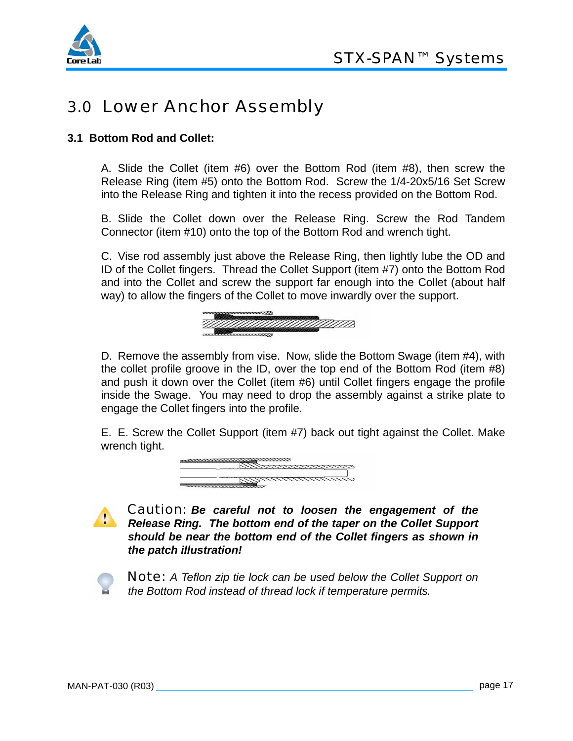

### 3.0 Lower Anchor Assembly

#### **3.1 Bottom Rod and Collet:**

A. Slide the Collet (item #6) over the Bottom Rod (item #8), then screw the Release Ring (item #5) onto the Bottom Rod. Screw the 1/4-20x5/16 Set Screw into the Release Ring and tighten it into the recess provided on the Bottom Rod.

B. Slide the Collet down over the Release Ring. Screw the Rod Tandem Connector (item #10) onto the top of the Bottom Rod and wrench tight.

C. Vise rod assembly just above the Release Ring, then lightly lube the OD and ID of the Collet fingers. Thread the Collet Support (item #7) onto the Bottom Rod and into the Collet and screw the support far enough into the Collet (about half way) to allow the fingers of the Collet to move inwardly over the support.



D. Remove the assembly from vise. Now, slide the Bottom Swage (item #4), with the collet profile groove in the ID, over the top end of the Bottom Rod (item #8) and push it down over the Collet (item #6) until Collet fingers engage the profile inside the Swage. You may need to drop the assembly against a strike plate to engage the Collet fingers into the profile.

E. E. Screw the Collet Support (item #7) back out tight against the Collet. Make wrench tight.





*Caution: Be careful not to loosen the engagement of the Release Ring. The bottom end of the taper on the Collet Support should be near the bottom end of the Collet fingers as shown in the patch illustration!*



*Note: A Teflon zip tie lock can be used below the Collet Support on the Bottom Rod instead of thread lock if temperature permits.*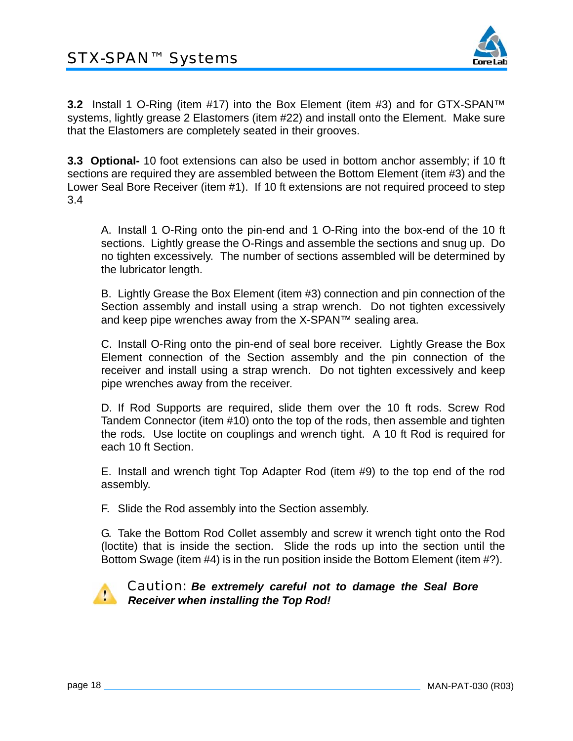

**3.2** Install 1 O-Ring (item #17) into the Box Element (item #3) and for GTX-SPAN™ systems, lightly grease 2 Elastomers (item #22) and install onto the Element. Make sure that the Elastomers are completely seated in their grooves.

**3.3 Optional-** 10 foot extensions can also be used in bottom anchor assembly; if 10 ft sections are required they are assembled between the Bottom Element (item #3) and the Lower Seal Bore Receiver (item #1). If 10 ft extensions are not required proceed to step 3.4

A. Install 1 O-Ring onto the pin-end and 1 O-Ring into the box-end of the 10 ft sections. Lightly grease the O-Rings and assemble the sections and snug up. Do no tighten excessively. The number of sections assembled will be determined by the lubricator length.

B. Lightly Grease the Box Element (item #3) connection and pin connection of the Section assembly and install using a strap wrench. Do not tighten excessively and keep pipe wrenches away from the X-SPAN™ sealing area.

C. Install O-Ring onto the pin-end of seal bore receiver. Lightly Grease the Box Element connection of the Section assembly and the pin connection of the receiver and install using a strap wrench. Do not tighten excessively and keep pipe wrenches away from the receiver.

D. If Rod Supports are required, slide them over the 10 ft rods. Screw Rod Tandem Connector (item #10) onto the top of the rods, then assemble and tighten the rods. Use loctite on couplings and wrench tight. A 10 ft Rod is required for each 10 ft Section.

E. Install and wrench tight Top Adapter Rod (item #9) to the top end of the rod assembly.

F. Slide the Rod assembly into the Section assembly.

G. Take the Bottom Rod Collet assembly and screw it wrench tight onto the Rod (loctite) that is inside the section. Slide the rods up into the section until the Bottom Swage (item #4) is in the run position inside the Bottom Element (item #?).



*Caution: Be extremely careful not to damage the Seal Bore Receiver when installing the Top Rod!*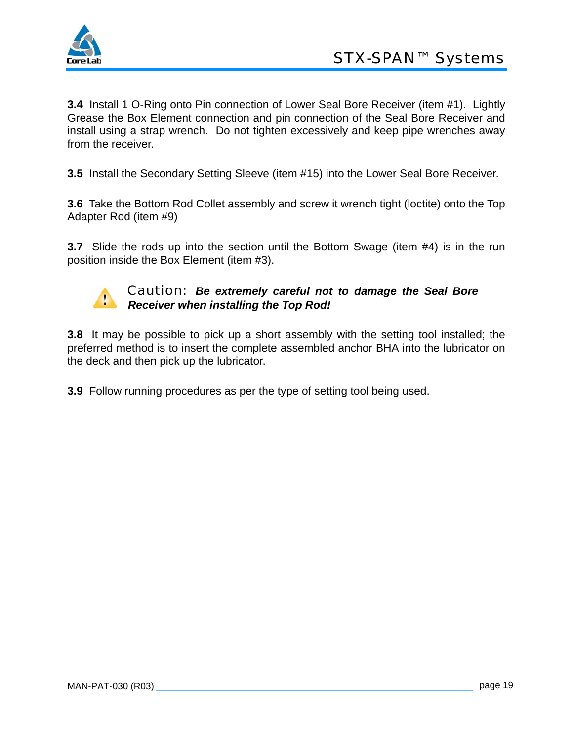

**3.4** Install 1 O-Ring onto Pin connection of Lower Seal Bore Receiver (item #1). Lightly Grease the Box Element connection and pin connection of the Seal Bore Receiver and install using a strap wrench. Do not tighten excessively and keep pipe wrenches away from the receiver.

**3.5** Install the Secondary Setting Sleeve (item #15) into the Lower Seal Bore Receiver.

**3.6** Take the Bottom Rod Collet assembly and screw it wrench tight (loctite) onto the Top Adapter Rod (item #9)

**3.7** Slide the rods up into the section until the Bottom Swage (item #4) is in the run position inside the Box Element (item #3).



#### *Caution: Be extremely careful not to damage the Seal Bore Receiver when installing the Top Rod!*

**3.8** It may be possible to pick up a short assembly with the setting tool installed; the preferred method is to insert the complete assembled anchor BHA into the lubricator on the deck and then pick up the lubricator.

**3.9** Follow running procedures as per the type of setting tool being used.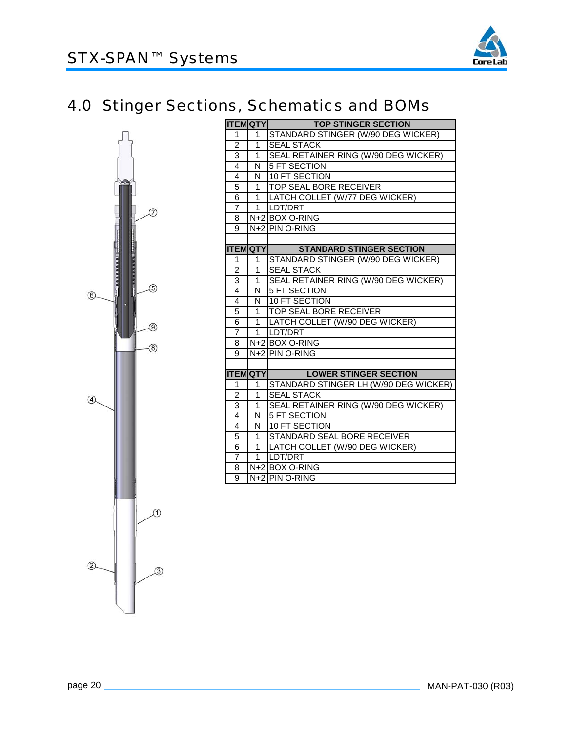

## 4.0 Stinger Sections, Schematics and BOMs



| STANDARD STINGER (W/90 DEG WICKER)<br>1<br>1<br><b>SEAL STACK</b><br>$\overline{2}$<br>1<br>$\overline{3}$<br>SEAL RETAINER RING (W/90 DEG WICKER)<br>$\mathbf{1}$<br>$\overline{4}$<br>5 FT SECTION<br>N<br>$\overline{4}$<br>10 FT SECTION<br>N<br>5<br><b>TOP SEAL BORE RECEIVER</b><br>$\mathbf{1}$<br>LATCH COLLET (W/77 DEG WICKER)<br>6<br>$\mathbf{1}$<br>$\overline{7}$<br>LDT/DRT<br>1<br>N+2 BOX O-RING<br>8<br>N+2 PIN O-RING<br>9<br><b>ITEM QTY</b><br><b>STANDARD STINGER SECTION</b><br>STANDARD STINGER (W/90 DEG WICKER)<br>1<br>1<br><b>SEAL STACK</b><br>$\overline{2}$<br>1<br>$\overline{3}$<br>SEAL RETAINER RING (W/90 DEG WICKER)<br>$\mathbf{1}$<br>5 FT SECTION<br>4<br>N<br>10 FT SECTION<br>4<br>N<br><b>TOP SEAL BORE RECEIVER</b><br>5<br>1<br>LATCH COLLET (W/90 DEG WICKER)<br>$\overline{6}$<br>$\mathbf{1}$<br>$\overline{7}$<br>LDT/DRT<br>$\mathbf{1}$<br>8<br>N+2 BOX O-RING | <b>ITEMQTY</b> | <b>TOP STINGER SECTION</b>            |
|--------------------------------------------------------------------------------------------------------------------------------------------------------------------------------------------------------------------------------------------------------------------------------------------------------------------------------------------------------------------------------------------------------------------------------------------------------------------------------------------------------------------------------------------------------------------------------------------------------------------------------------------------------------------------------------------------------------------------------------------------------------------------------------------------------------------------------------------------------------------------------------------------------------------|----------------|---------------------------------------|
|                                                                                                                                                                                                                                                                                                                                                                                                                                                                                                                                                                                                                                                                                                                                                                                                                                                                                                                    |                |                                       |
|                                                                                                                                                                                                                                                                                                                                                                                                                                                                                                                                                                                                                                                                                                                                                                                                                                                                                                                    |                |                                       |
|                                                                                                                                                                                                                                                                                                                                                                                                                                                                                                                                                                                                                                                                                                                                                                                                                                                                                                                    |                |                                       |
|                                                                                                                                                                                                                                                                                                                                                                                                                                                                                                                                                                                                                                                                                                                                                                                                                                                                                                                    |                |                                       |
|                                                                                                                                                                                                                                                                                                                                                                                                                                                                                                                                                                                                                                                                                                                                                                                                                                                                                                                    |                |                                       |
|                                                                                                                                                                                                                                                                                                                                                                                                                                                                                                                                                                                                                                                                                                                                                                                                                                                                                                                    |                |                                       |
|                                                                                                                                                                                                                                                                                                                                                                                                                                                                                                                                                                                                                                                                                                                                                                                                                                                                                                                    |                |                                       |
|                                                                                                                                                                                                                                                                                                                                                                                                                                                                                                                                                                                                                                                                                                                                                                                                                                                                                                                    |                |                                       |
|                                                                                                                                                                                                                                                                                                                                                                                                                                                                                                                                                                                                                                                                                                                                                                                                                                                                                                                    |                |                                       |
|                                                                                                                                                                                                                                                                                                                                                                                                                                                                                                                                                                                                                                                                                                                                                                                                                                                                                                                    |                |                                       |
|                                                                                                                                                                                                                                                                                                                                                                                                                                                                                                                                                                                                                                                                                                                                                                                                                                                                                                                    |                |                                       |
|                                                                                                                                                                                                                                                                                                                                                                                                                                                                                                                                                                                                                                                                                                                                                                                                                                                                                                                    |                |                                       |
|                                                                                                                                                                                                                                                                                                                                                                                                                                                                                                                                                                                                                                                                                                                                                                                                                                                                                                                    |                |                                       |
|                                                                                                                                                                                                                                                                                                                                                                                                                                                                                                                                                                                                                                                                                                                                                                                                                                                                                                                    |                |                                       |
|                                                                                                                                                                                                                                                                                                                                                                                                                                                                                                                                                                                                                                                                                                                                                                                                                                                                                                                    |                |                                       |
|                                                                                                                                                                                                                                                                                                                                                                                                                                                                                                                                                                                                                                                                                                                                                                                                                                                                                                                    |                |                                       |
|                                                                                                                                                                                                                                                                                                                                                                                                                                                                                                                                                                                                                                                                                                                                                                                                                                                                                                                    |                |                                       |
|                                                                                                                                                                                                                                                                                                                                                                                                                                                                                                                                                                                                                                                                                                                                                                                                                                                                                                                    |                |                                       |
|                                                                                                                                                                                                                                                                                                                                                                                                                                                                                                                                                                                                                                                                                                                                                                                                                                                                                                                    |                |                                       |
|                                                                                                                                                                                                                                                                                                                                                                                                                                                                                                                                                                                                                                                                                                                                                                                                                                                                                                                    |                |                                       |
|                                                                                                                                                                                                                                                                                                                                                                                                                                                                                                                                                                                                                                                                                                                                                                                                                                                                                                                    |                |                                       |
| 9<br>N+2 PIN O-RING                                                                                                                                                                                                                                                                                                                                                                                                                                                                                                                                                                                                                                                                                                                                                                                                                                                                                                |                |                                       |
|                                                                                                                                                                                                                                                                                                                                                                                                                                                                                                                                                                                                                                                                                                                                                                                                                                                                                                                    |                |                                       |
| <b>ITEMQTY</b><br><b>LOWER STINGER SECTION</b>                                                                                                                                                                                                                                                                                                                                                                                                                                                                                                                                                                                                                                                                                                                                                                                                                                                                     |                |                                       |
| $\mathbf{1}$<br>1                                                                                                                                                                                                                                                                                                                                                                                                                                                                                                                                                                                                                                                                                                                                                                                                                                                                                                  |                | STANDARD STINGER LH (W/90 DEG WICKER) |
| $\overline{2}$<br><b>SEAL STACK</b><br>1                                                                                                                                                                                                                                                                                                                                                                                                                                                                                                                                                                                                                                                                                                                                                                                                                                                                           |                |                                       |
| 3<br>SEAL RETAINER RING (W/90 DEG WICKER)<br>1<br>$\overline{4}$<br>N                                                                                                                                                                                                                                                                                                                                                                                                                                                                                                                                                                                                                                                                                                                                                                                                                                              |                |                                       |
| 5 FT SECTION<br>$\overline{4}$<br>10 FT SECTION<br>N                                                                                                                                                                                                                                                                                                                                                                                                                                                                                                                                                                                                                                                                                                                                                                                                                                                               |                |                                       |
| $\overline{5}$                                                                                                                                                                                                                                                                                                                                                                                                                                                                                                                                                                                                                                                                                                                                                                                                                                                                                                     |                |                                       |
| STANDARD SEAL BORE RECEIVER<br>1<br>6<br>LATCH COLLET (W/90 DEG WICKER)<br>$\mathbf{1}$                                                                                                                                                                                                                                                                                                                                                                                                                                                                                                                                                                                                                                                                                                                                                                                                                            |                |                                       |
| 7<br>LDT/DRT<br>$\mathbf{1}$                                                                                                                                                                                                                                                                                                                                                                                                                                                                                                                                                                                                                                                                                                                                                                                                                                                                                       |                |                                       |
| N+2 BOX O-RING<br>8                                                                                                                                                                                                                                                                                                                                                                                                                                                                                                                                                                                                                                                                                                                                                                                                                                                                                                |                |                                       |
| $\overline{9}$<br>N+2 PIN O-RING                                                                                                                                                                                                                                                                                                                                                                                                                                                                                                                                                                                                                                                                                                                                                                                                                                                                                   |                |                                       |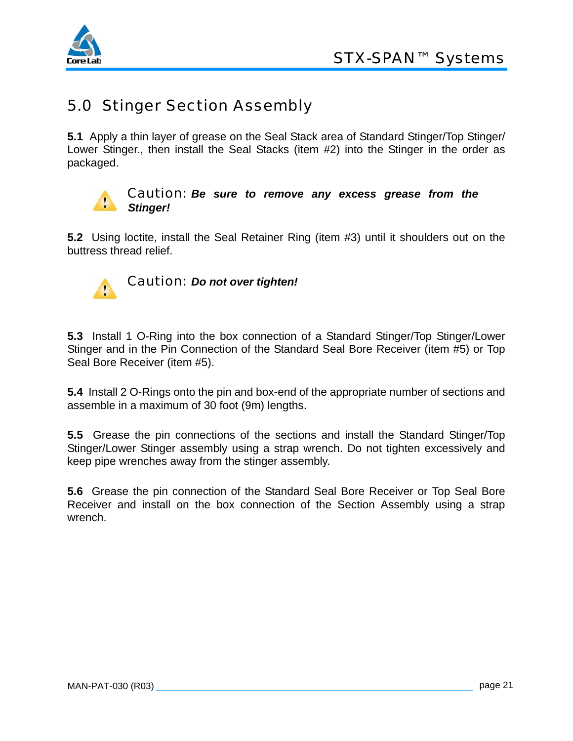

#### 5.0 Stinger Section Assembly

**5.1** Apply a thin layer of grease on the Seal Stack area of Standard Stinger/Top Stinger/ Lower Stinger., then install the Seal Stacks (item #2) into the Stinger in the order as packaged.



#### *Caution: Be sure to remove any excess grease from the Stinger!*

**5.2** Using loctite, install the Seal Retainer Ring (item #3) until it shoulders out on the buttress thread relief.



*Caution: Do not over tighten!*

**5.3** Install 1 O-Ring into the box connection of a Standard Stinger/Top Stinger/Lower Stinger and in the Pin Connection of the Standard Seal Bore Receiver (item #5) or Top Seal Bore Receiver (item #5).

**5.4** Install 2 O-Rings onto the pin and box-end of the appropriate number of sections and assemble in a maximum of 30 foot (9m) lengths.

**5.5** Grease the pin connections of the sections and install the Standard Stinger/Top Stinger/Lower Stinger assembly using a strap wrench. Do not tighten excessively and keep pipe wrenches away from the stinger assembly.

**5.6** Grease the pin connection of the Standard Seal Bore Receiver or Top Seal Bore Receiver and install on the box connection of the Section Assembly using a strap wrench.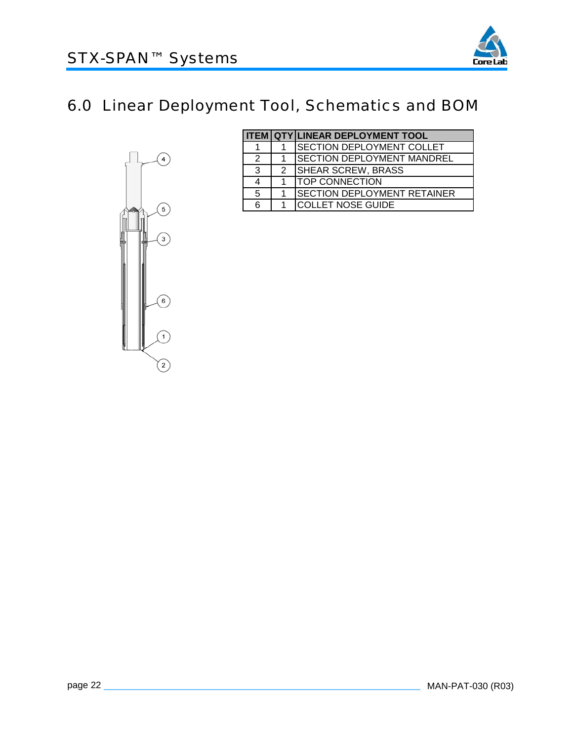

## 6.0 Linear Deployment Tool, Schematics and BOM



|   |               | <b>ITEM QTY LINEAR DEPLOYMENT TOOL</b> |
|---|---------------|----------------------------------------|
|   |               | <b>SECTION DEPLOYMENT COLLET</b>       |
| 2 |               | <b>SECTION DEPLOYMENT MANDREL</b>      |
| 3 | $\mathcal{P}$ | <b>SHEAR SCREW, BRASS</b>              |
| 4 |               | <b>TOP CONNECTION</b>                  |
| 5 |               | <b>SECTION DEPLOYMENT RETAINER</b>     |
| հ |               | <b>COLLET NOSE GUIDE</b>               |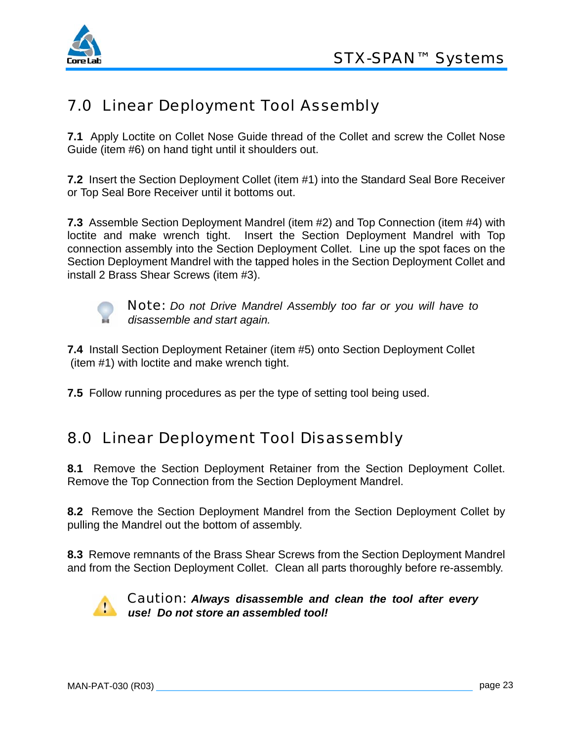

#### 7.0 Linear Deployment Tool Assembly

**7.1** Apply Loctite on Collet Nose Guide thread of the Collet and screw the Collet Nose Guide (item #6) on hand tight until it shoulders out.

**7.2** Insert the Section Deployment Collet (item #1) into the Standard Seal Bore Receiver or Top Seal Bore Receiver until it bottoms out.

**7.3** Assemble Section Deployment Mandrel (item #2) and Top Connection (item #4) with loctite and make wrench tight. Insert the Section Deployment Mandrel with Top connection assembly into the Section Deployment Collet. Line up the spot faces on the Section Deployment Mandrel with the tapped holes in the Section Deployment Collet and install 2 Brass Shear Screws (item #3).



*Note: Do not Drive Mandrel Assembly too far or you will have to disassemble and start again.*

**7.4** Install Section Deployment Retainer (item #5) onto Section Deployment Collet (item #1) with loctite and make wrench tight.

**7.5** Follow running procedures as per the type of setting tool being used.

#### 8.0 Linear Deployment Tool Disassembly

**8.1** Remove the Section Deployment Retainer from the Section Deployment Collet. Remove the Top Connection from the Section Deployment Mandrel.

**8.2** Remove the Section Deployment Mandrel from the Section Deployment Collet by pulling the Mandrel out the bottom of assembly.

**8.3** Remove remnants of the Brass Shear Screws from the Section Deployment Mandrel and from the Section Deployment Collet. Clean all parts thoroughly before re-assembly.



*Caution: Always disassemble and clean the tool after every use! Do not store an assembled tool!*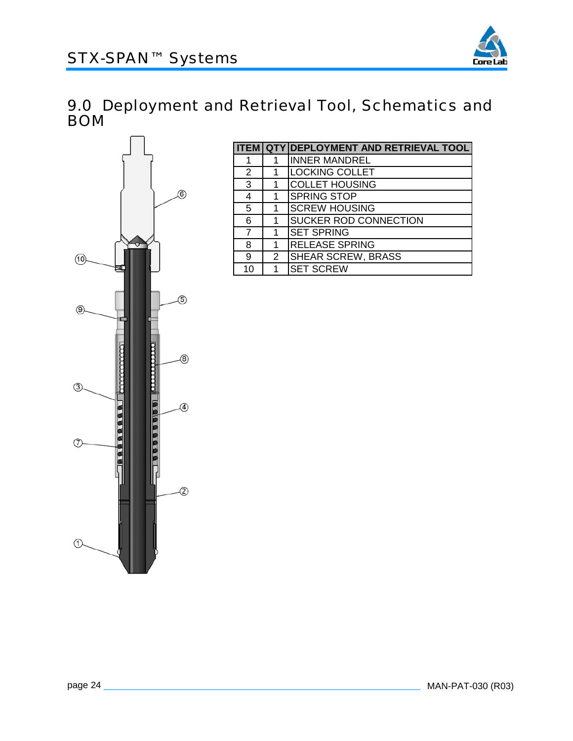

#### 9.0 Deployment and Retrieval Tool, Schematics and BOM



|    |   | <b>ITEM QTY DEPLOYMENT AND RETRIEVAL TOOL</b> |
|----|---|-----------------------------------------------|
|    |   | <b>INNER MANDREL</b>                          |
| 2  | 1 | <b>LOCKING COLLET</b>                         |
| 3  | 1 | <b>COLLET HOUSING</b>                         |
| 4  | 1 | <b>SPRING STOP</b>                            |
| 5  | 1 | <b>SCREW HOUSING</b>                          |
| 6  | 1 | <b>SUCKER ROD CONNECTION</b>                  |
| 7  | 1 | <b>SET SPRING</b>                             |
| 8  | 1 | <b>RELEASE SPRING</b>                         |
| 9  | 2 | <b>SHEAR SCREW, BRASS</b>                     |
| 10 |   | <b>SET SCREW</b>                              |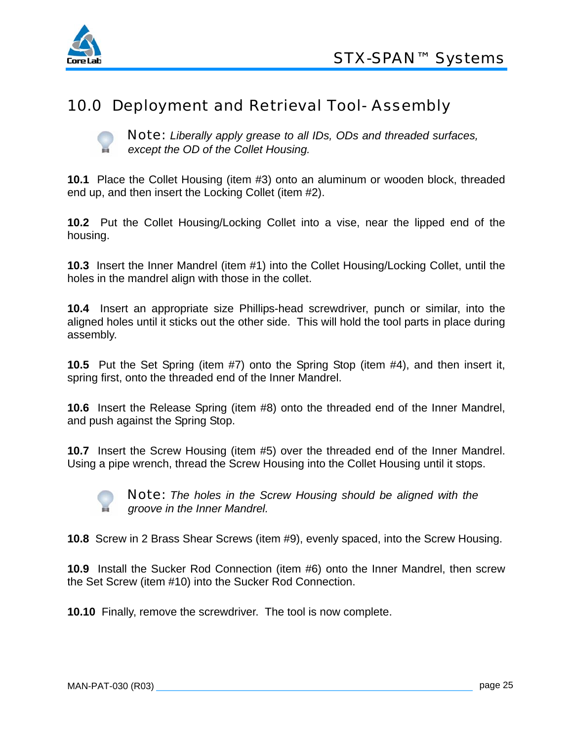

#### 10.0 Deployment and Retrieval Tool- Assembly



*Note: Liberally apply grease to all IDs, ODs and threaded surfaces, except the OD of the Collet Housing.*

**10.1** Place the Collet Housing (item #3) onto an aluminum or wooden block, threaded end up, and then insert the Locking Collet (item #2).

**10.2** Put the Collet Housing/Locking Collet into a vise, near the lipped end of the housing.

**10.3** Insert the Inner Mandrel (item #1) into the Collet Housing/Locking Collet, until the holes in the mandrel align with those in the collet.

**10.4** Insert an appropriate size Phillips-head screwdriver, punch or similar, into the aligned holes until it sticks out the other side. This will hold the tool parts in place during assembly.

**10.5** Put the Set Spring (item #7) onto the Spring Stop (item #4), and then insert it, spring first, onto the threaded end of the Inner Mandrel.

**10.6** Insert the Release Spring (item #8) onto the threaded end of the Inner Mandrel, and push against the Spring Stop.

**10.7** Insert the Screw Housing (item #5) over the threaded end of the Inner Mandrel. Using a pipe wrench, thread the Screw Housing into the Collet Housing until it stops.



*Note: The holes in the Screw Housing should be aligned with the groove in the Inner Mandrel.*

**10.8** Screw in 2 Brass Shear Screws (item #9), evenly spaced, into the Screw Housing.

**10.9** Install the Sucker Rod Connection (item #6) onto the Inner Mandrel, then screw the Set Screw (item #10) into the Sucker Rod Connection.

**10.10** Finally, remove the screwdriver. The tool is now complete.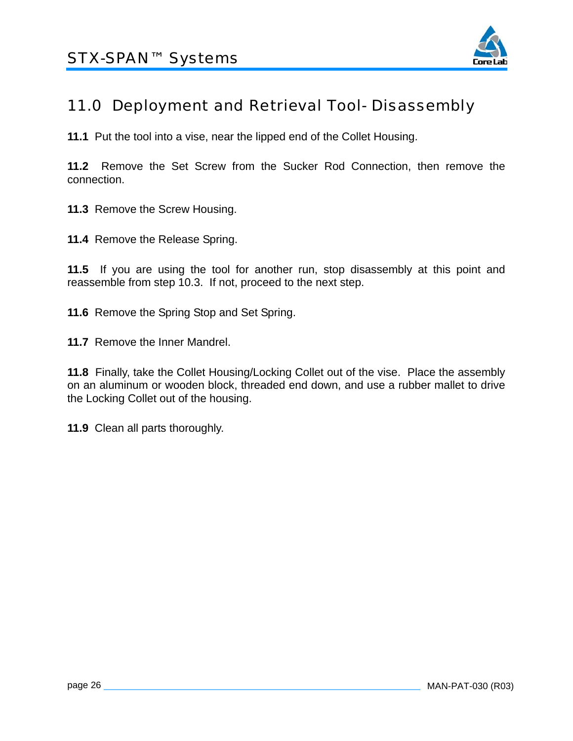

#### 11.0 Deployment and Retrieval Tool- Disassembly

**11.1** Put the tool into a vise, near the lipped end of the Collet Housing.

**11.2** Remove the Set Screw from the Sucker Rod Connection, then remove the connection.

**11.3** Remove the Screw Housing.

**11.4** Remove the Release Spring.

**11.5** If you are using the tool for another run, stop disassembly at this point and reassemble from step 10.3. If not, proceed to the next step.

**11.6** Remove the Spring Stop and Set Spring.

**11.7** Remove the Inner Mandrel.

**11.8** Finally, take the Collet Housing/Locking Collet out of the vise. Place the assembly on an aluminum or wooden block, threaded end down, and use a rubber mallet to drive the Locking Collet out of the housing.

**11.9** Clean all parts thoroughly.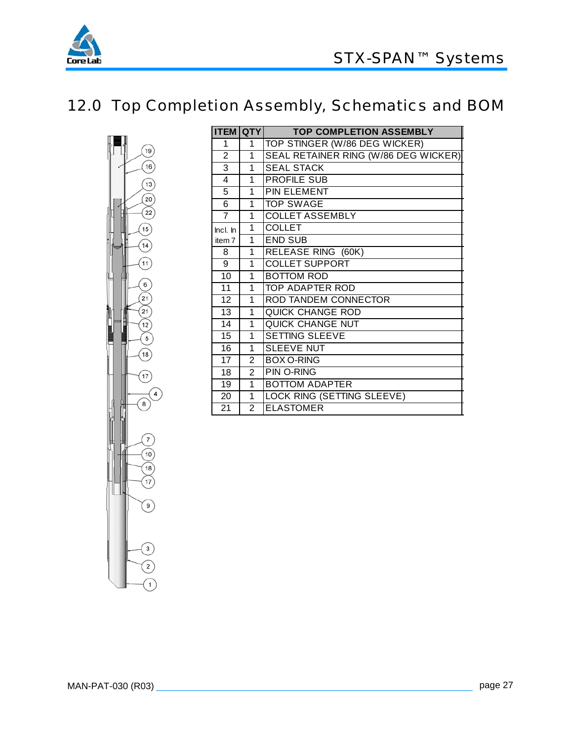

## 12.0 Top Completion Assembly, Schematics and BOM



| <b>ITEM QTY</b>   |                | <b>TOP COMPLETION ASSEMBLY</b>       |
|-------------------|----------------|--------------------------------------|
| 1                 | 1              | TOP STINGER (W/86 DEG WICKER)        |
| $\overline{2}$    | 1              | SEAL RETAINER RING (W/86 DEG WICKER) |
| $\overline{3}$    | 1              | <b>SEAL STACK</b>                    |
| $\overline{4}$    | 1              | <b>PROFILE SUB</b>                   |
| 5                 | 1              | <b>PIN ELEMENT</b>                   |
| 6                 | 1              | <b>TOP SWAGE</b>                     |
| $\overline{7}$    | 1              | <b>COLLET ASSEMBLY</b>               |
| Incl. In          | 1              | <b>COLLET</b>                        |
| item <sub>7</sub> | 1              | <b>END SUB</b>                       |
| 8                 | 1              | RELEASE RING (60K)                   |
| 9                 | 1              | <b>COLLET SUPPORT</b>                |
| $\overline{10}$   | 1              | <b>BOTTOM ROD</b>                    |
| 11                | 1              | TOP ADAPTER ROD                      |
| 12                | 1              | ROD TANDEM CONNECTOR                 |
| 13                | 1              | <b>QUICK CHANGE ROD</b>              |
| 14                | 1              | <b>QUICK CHANGE NUT</b>              |
| 15                | 1              | <b>SETTING SLEEVE</b>                |
| 16                | 1              | <b>SLEEVE NUT</b>                    |
| 17                | $\overline{2}$ | <b>BOX O-RING</b>                    |
| $\overline{18}$   | $\overline{2}$ | <b>PIN O-RING</b>                    |
| 19                | 1              | <b>BOTTOM ADAPTER</b>                |
| 20                | 1              | LOCK RING (SETTING SLEEVE)           |
| 21                | $\overline{2}$ | <b>ELASTOMER</b>                     |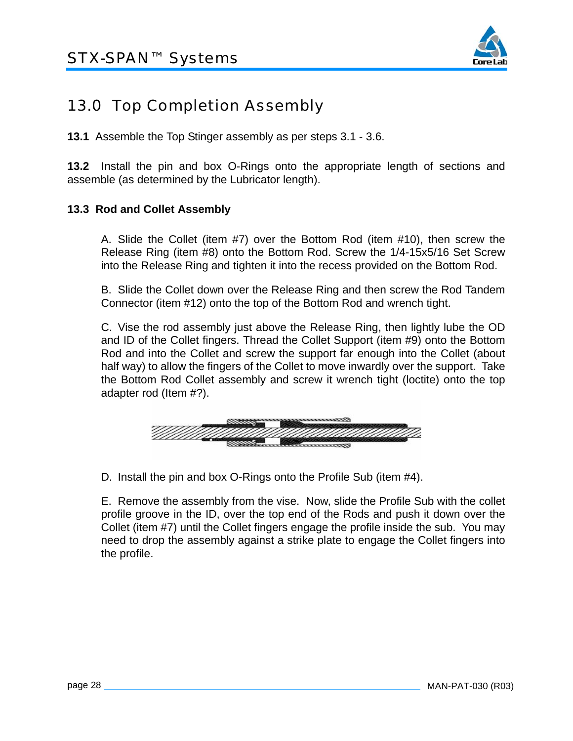

#### 13.0 Top Completion Assembly

**13.1** Assemble the Top Stinger assembly as per steps 3.1 - 3.6.

**13.2** Install the pin and box O-Rings onto the appropriate length of sections and assemble (as determined by the Lubricator length).

#### **13.3 Rod and Collet Assembly**

A. Slide the Collet (item #7) over the Bottom Rod (item #10), then screw the Release Ring (item #8) onto the Bottom Rod. Screw the 1/4-15x5/16 Set Screw into the Release Ring and tighten it into the recess provided on the Bottom Rod.

B. Slide the Collet down over the Release Ring and then screw the Rod Tandem Connector (item #12) onto the top of the Bottom Rod and wrench tight.

C. Vise the rod assembly just above the Release Ring, then lightly lube the OD and ID of the Collet fingers. Thread the Collet Support (item #9) onto the Bottom Rod and into the Collet and screw the support far enough into the Collet (about half way) to allow the fingers of the Collet to move inwardly over the support. Take the Bottom Rod Collet assembly and screw it wrench tight (loctite) onto the top adapter rod (Item #?).



D. Install the pin and box O-Rings onto the Profile Sub (item #4).

E. Remove the assembly from the vise. Now, slide the Profile Sub with the collet profile groove in the ID, over the top end of the Rods and push it down over the Collet (item #7) until the Collet fingers engage the profile inside the sub. You may need to drop the assembly against a strike plate to engage the Collet fingers into the profile.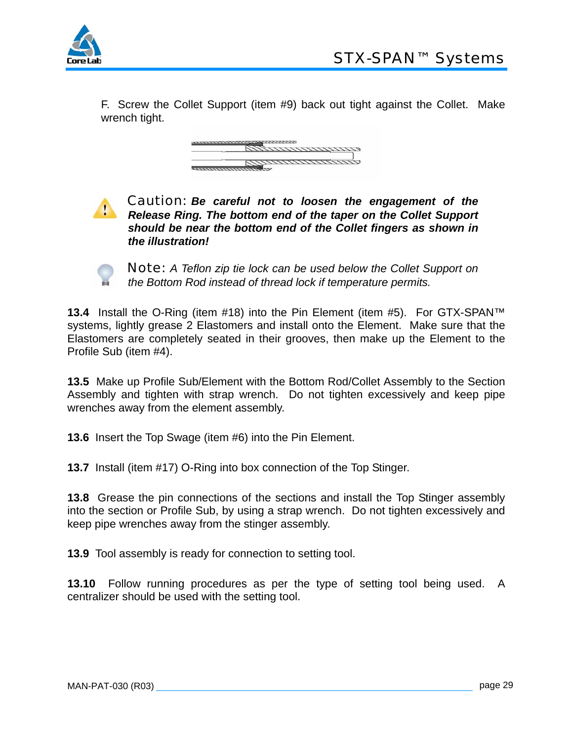

F. Screw the Collet Support (item #9) back out tight against the Collet. Make wrench tight.





*Caution: Be careful not to loosen the engagement of the Release Ring. The bottom end of the taper on the Collet Support should be near the bottom end of the Collet fingers as shown in the illustration!*



*Note: A Teflon zip tie lock can be used below the Collet Support on the Bottom Rod instead of thread lock if temperature permits.*

**13.4** Install the O-Ring (item #18) into the Pin Element (item #5). For GTX-SPAN™ systems, lightly grease 2 Elastomers and install onto the Element. Make sure that the Elastomers are completely seated in their grooves, then make up the Element to the Profile Sub (item #4).

**13.5** Make up Profile Sub/Element with the Bottom Rod/Collet Assembly to the Section Assembly and tighten with strap wrench. Do not tighten excessively and keep pipe wrenches away from the element assembly.

**13.6** Insert the Top Swage (item #6) into the Pin Element.

**13.7** Install (item #17) O-Ring into box connection of the Top Stinger.

**13.8** Grease the pin connections of the sections and install the Top Stinger assembly into the section or Profile Sub, by using a strap wrench. Do not tighten excessively and keep pipe wrenches away from the stinger assembly.

**13.9** Tool assembly is ready for connection to setting tool.

**13.10** Follow running procedures as per the type of setting tool being used. A centralizer should be used with the setting tool.